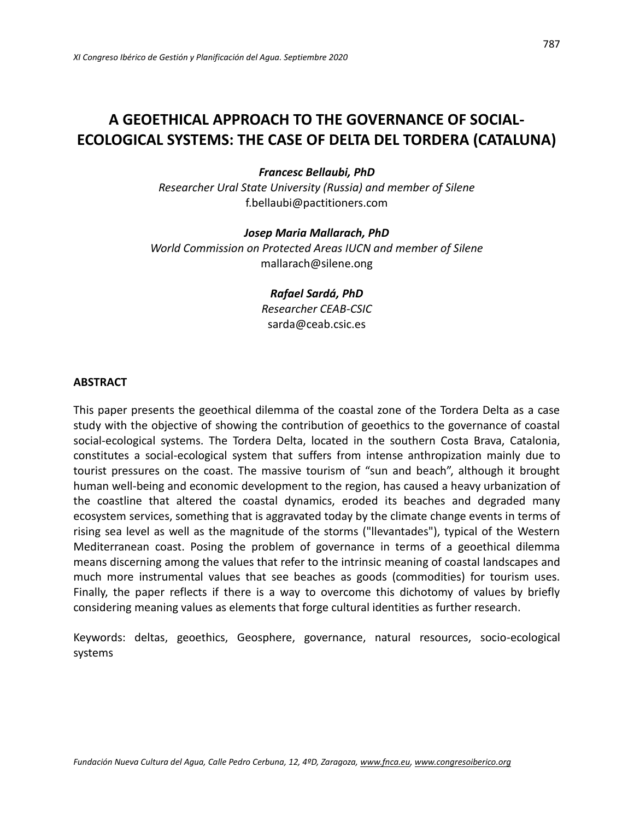# **A GEOETHICAL APPROACH TO THE GOVERNANCE OF SOCIAL-ECOLOGICAL SYSTEMS: THE CASE OF DELTA DEL TORDERA (CATALUNA)**

## *Francesc Bellaubi, PhD*

*Researcher Ural State University (Russia) and member of Silene* [f.bellaubi@pactitioners.com](mailto:f.bellaubi@pactitioners.com)

#### *Josep Maria Mallarach, PhD*

*World Commission on Protected Areas IUCN and member of Silene* [mallarach@silene.ong](mailto:mallarach@silene.ong)

> *Rafael Sardá, PhD Researcher CEAB-CSIC* [sarda@ceab.csic.es](mailto:sarda@ceab.csic.es)

#### **ABSTRACT**

This paper presents the geoethical dilemma of the coastal zone of the Tordera Delta as a case study with the objective of showing the contribution of geoethics to the governance of coastal social-ecological systems. The Tordera Delta, located in the southern Costa Brava, Catalonia, constitutes a social-ecological system that suffers from intense anthropization mainly due to tourist pressures on the coast. The massive tourism of "sun and beach", although it brought human well-being and economic development to the region, has caused a heavy urbanization of the coastline that altered the coastal dynamics, eroded its beaches and degraded many ecosystem services, something that is aggravated today by the climate change events in terms of rising sea level as well as the magnitude of the storms ("llevantades"), typical of the Western Mediterranean coast. Posing the problem of governance in terms of a geoethical dilemma means discerning among the values that refer to the intrinsic meaning of coastal landscapes and much more instrumental values that see beaches as goods (commodities) for tourism uses. Finally, the paper reflects if there is a way to overcome this dichotomy of values by briefly considering meaning values as elements that forge cultural identities as further research.

Keywords: deltas, geoethics, Geosphere, governance, natural resources, socio-ecological systems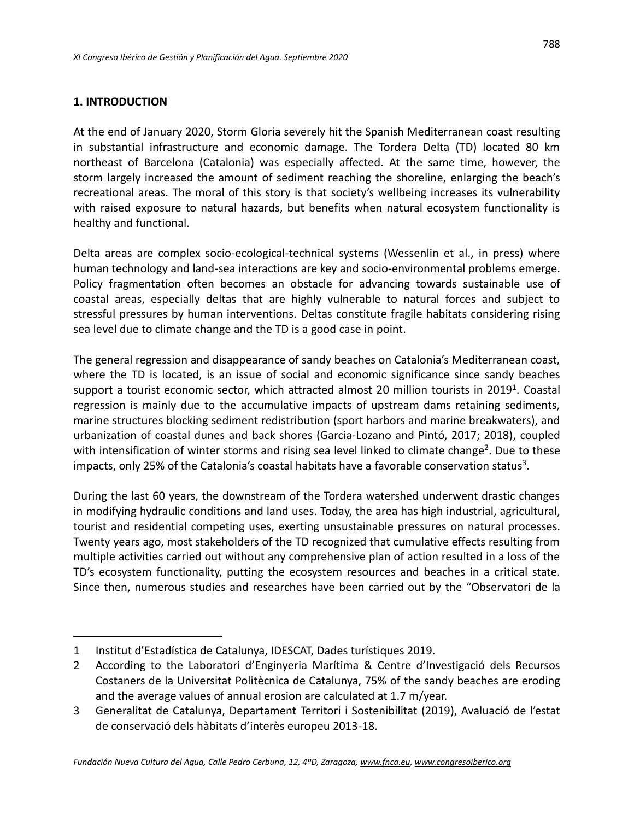## **1. INTRODUCTION**

At the end of January 2020, Storm Gloria severely hit the Spanish Mediterranean coast resulting in substantial infrastructure and economic damage. The Tordera Delta (TD) located 80 km northeast of Barcelona (Catalonia) was especially affected. At the same time, however, the storm largely increased the amount of sediment reaching the shoreline, enlarging the beach's recreational areas. The moral of this story is that society's wellbeing increases its vulnerability with raised exposure to natural hazards, but benefits when natural ecosystem functionality is healthy and functional.

Delta areas are complex socio-ecological-technical systems (Wessenlin et al., in press) where human technology and land-sea interactions are key and socio-environmental problems emerge. Policy fragmentation often becomes an obstacle for advancing towards sustainable use of coastal areas, especially deltas that are highly vulnerable to natural forces and subject to stressful pressures by human interventions. Deltas constitute fragile habitats considering rising sea level due to climate change and the TD is a good case in point.

The general regression and disappearance of sandy beaches on Catalonia's Mediterranean coast, where the TD is located, is an issue of social and economic significance since sandy beaches support a tourist economic sector, which attracted almost 20 million tourists in 2019<sup>1</sup>. Coastal regression is mainly due to the accumulative impacts of upstream dams retaining sediments, marine structures blocking sediment redistribution (sport harbors and marine breakwaters), and urbanization of coastal dunes and back shores (Garcia-Lozano and Pintó, 2017; 2018), coupled with intensification of winter storms and rising sea level linked to climate change<sup>2</sup>. Due to these impacts, only 25% of the Catalonia's coastal habitats have a favorable conservation status<sup>3</sup>.

During the last 60 years, the downstream of the Tordera watershed underwent drastic changes in modifying hydraulic conditions and land uses. Today, the area has high industrial, agricultural, tourist and residential competing uses, exerting unsustainable pressures on natural processes. Twenty years ago, most stakeholders of the TD recognized that cumulative effects resulting from multiple activities carried out without any comprehensive plan of action resulted in a loss of the TD's ecosystem functionality, putting the ecosystem resources and beaches in a critical state. Since then, numerous studies and researches have been carried out by the "Observatori de la

<sup>1</sup> Institut d'Estadística de Catalunya, IDESCAT, Dades turístiques 2019.

<sup>2</sup> According to the Laboratori d'Enginyeria Marítima & Centre d'Investigació dels Recursos Costaners de la Universitat Politècnica de Catalunya, 75% of the sandy beaches are eroding and the average values of annual erosion are calculated at 1.7 m/year.

<sup>3</sup> Generalitat de Catalunya, Departament Territori i Sostenibilitat (2019), Avaluació de l'estat de conservació dels hàbitats d'interès europeu 2013-18.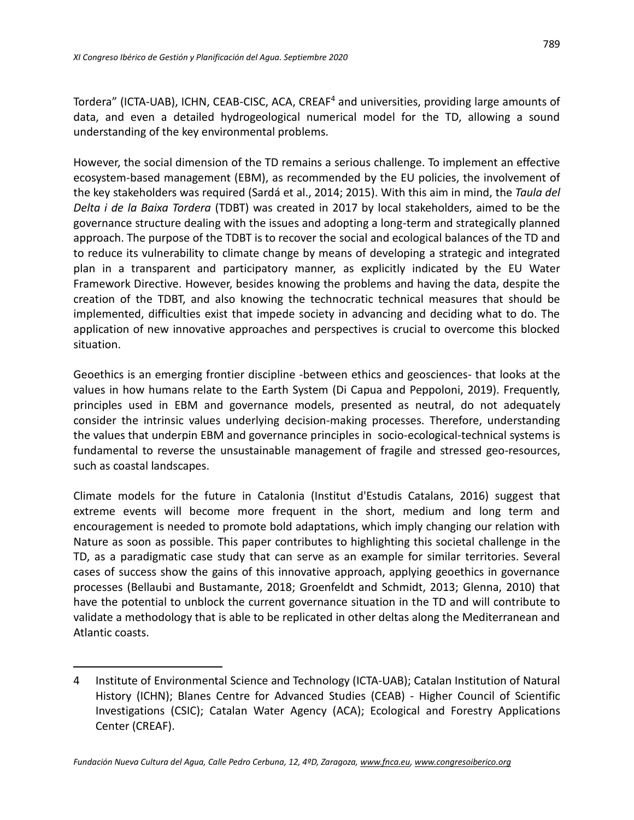Tordera" (ICTA-UAB), ICHN, CEAB-CISC, ACA, CREAF<sup>4</sup> and universities, providing large amounts of data, and even a detailed hydrogeological numerical model for the TD, allowing a sound understanding of the key environmental problems.

However, the social dimension of the TD remains a serious challenge. To implement an effective ecosystem-based management (EBM), as recommended by the EU policies, the involvement of the key stakeholders was required (Sardá et al., 2014; 2015). With this aim in mind, the *Taula del Delta i de la Baixa Tordera* (TDBT) was created in 2017 by local stakeholders, aimed to be the governance structure dealing with the issues and adopting a long-term and strategically planned approach. The purpose of the TDBT is to recover the social and ecological balances of the TD and to reduce its vulnerability to climate change by means of developing a strategic and integrated plan in a transparent and participatory manner, as explicitly indicated by the EU Water Framework Directive. However, besides knowing the problems and having the data, despite the creation of the TDBT, and also knowing the technocratic technical measures that should be implemented, difficulties exist that impede society in advancing and deciding what to do. The application of new innovative approaches and perspectives is crucial to overcome this blocked situation.

Geoethics is an emerging frontier discipline -between ethics and geosciences- that looks at the values in how humans relate to the Earth System (Di Capua and Peppoloni, 2019). Frequently, principles used in EBM and governance models, presented as neutral, do not adequately consider the intrinsic values underlying decision-making processes. Therefore, understanding the values that underpin EBM and governance principles in socio-ecological-technical systems is fundamental to reverse the unsustainable management of fragile and stressed geo-resources, such as coastal landscapes.

Climate models for the future in Catalonia (Institut d'Estudis Catalans, 2016) suggest that extreme events will become more frequent in the short, medium and long term and encouragement is needed to promote bold adaptations, which imply changing our relation with Nature as soon as possible. This paper contributes to highlighting this societal challenge in the TD, as a paradigmatic case study that can serve as an example for similar territories. Several cases of success show the gains of this innovative approach, applying geoethics in governance processes (Bellaubi and Bustamante, 2018; Groenfeldt and Schmidt, 2013; Glenna, 2010) that have the potential to unblock the current governance situation in the TD and will contribute to validate a methodology that is able to be replicated in other deltas along the Mediterranean and Atlantic coasts.

<sup>4</sup> Institute of Environmental Science and Technology (ICTA-UAB); Catalan Institution of Natural History (ICHN); Blanes Centre for Advanced Studies (CEAB) - Higher Council of Scientific Investigations (CSIC); Catalan Water Agency (ACA); Ecological and Forestry Applications Center (CREAF).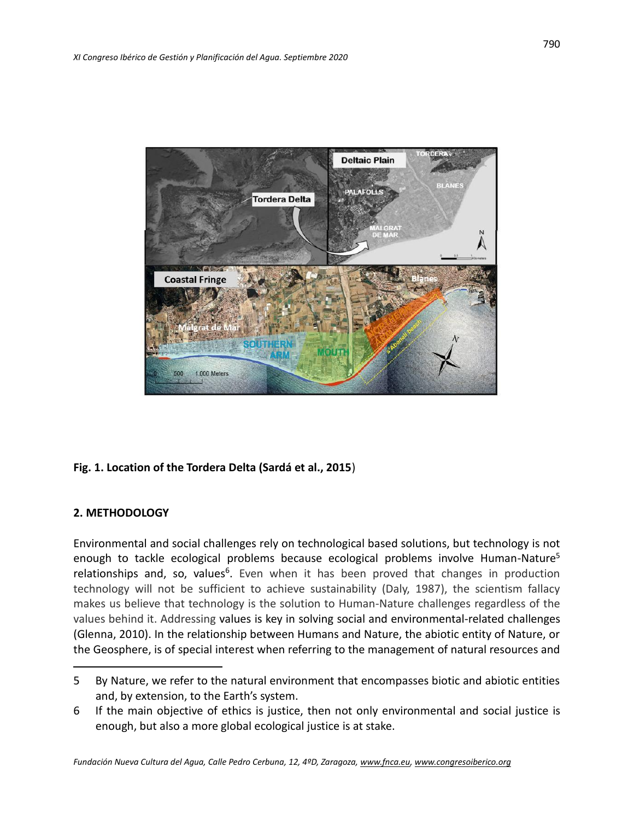

# **Fig. 1. Location of the Tordera Delta (Sardá et al., 2015**)

# **2. METHODOLOGY**

Environmental and social challenges rely on technological based solutions, but technology is not enough to tackle ecological problems because ecological problems involve Human-Nature<sup>5</sup> relationships and, so, values<sup>6</sup>. Even when it has been proved that changes in production technology will not be sufficient to achieve sustainability (Daly, 1987), the scientism fallacy makes us believe that technology is the solution to Human-Nature challenges regardless of the values behind it. Addressing values is key in solving social and environmental-related challenges (Glenna, 2010). In the relationship between Humans and Nature, the abiotic entity of Nature, or the Geosphere, is of special interest when referring to the management of natural resources and

<sup>5</sup> By Nature, we refer to the natural environment that encompasses biotic and abiotic entities and, by extension, to the Earth's system.

<sup>6</sup> If the main objective of ethics is justice, then not only environmental and social justice is enough, but also a more global ecological justice is at stake.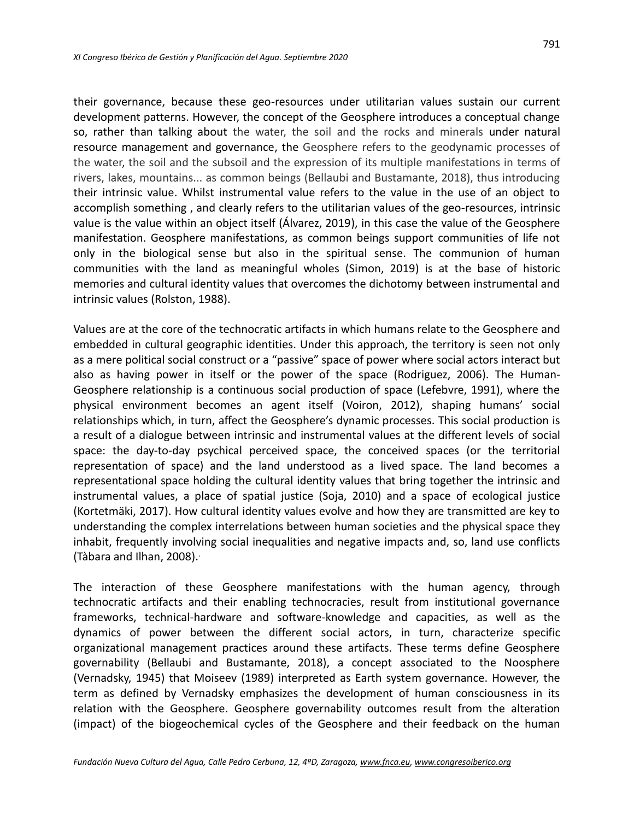their governance, because these geo-resources under utilitarian values sustain our current development patterns. However, the concept of the Geosphere introduces a conceptual change so, rather than talking about the water, the soil and the rocks and minerals under natural resource management and governance, the Geosphere refers to the geodynamic processes of the water, the soil and the subsoil and the expression of its multiple manifestations in terms of rivers, lakes, mountains... as common beings (Bellaubi and Bustamante, 2018), thus introducing their intrinsic value. Whilst instrumental value refers to the value in the use of an object to accomplish something , and clearly refers to the utilitarian values of the geo-resources, intrinsic value is the value within an object itself (Álvarez, 2019), in this case the value of the Geosphere manifestation. Geosphere manifestations, as common beings support communities of life not only in the biological sense but also in the spiritual sense. The communion of human communities with the land as meaningful wholes (Simon, 2019) is at the base of historic memories and cultural identity values that overcomes the dichotomy between instrumental and intrinsic values (Rolston, 1988).

Values are at the core of the technocratic artifacts in which humans relate to the Geosphere and embedded in cultural geographic identities. Under this approach, the territory is seen not only as a mere political social construct or a "passive" space of power where social actors interact but also as having power in itself or the power of the space (Rodriguez, 2006). The Human-Geosphere relationship is a continuous social production of space (Lefebvre, 1991), where the physical environment becomes an agent itself (Voiron, 2012), shaping humans' social relationships which, in turn, affect the Geosphere's dynamic processes. This social production is a result of a dialogue between intrinsic and instrumental values at the different levels of social space: the day-to-day psychical perceived space, the conceived spaces (or the territorial representation of space) and the land understood as a lived space. The land becomes a representational space holding the cultural identity values that bring together the intrinsic and instrumental values, a place of spatial justice (Soja, 2010) and a space of ecological justice (Kortetmäki, 2017). How cultural identity values evolve and how they are transmitted are key to understanding the complex interrelations between human societies and the physical space they inhabit, frequently involving social inequalities and negative impacts and, so, land use conflicts (Tàbara and Ilhan, 2008). .

The interaction of these Geosphere manifestations with the human agency, through technocratic artifacts and their enabling technocracies, result from institutional governance frameworks, technical-hardware and software-knowledge and capacities, as well as the dynamics of power between the different social actors, in turn, characterize specific organizational management practices around these artifacts. These terms define Geosphere governability (Bellaubi and Bustamante, 2018), a concept associated to the Noosphere (Vernadsky, 1945) that Moiseev (1989) interpreted as Earth system governance. However, the term as defined by Vernadsky emphasizes the development of human consciousness in its relation with the Geosphere. Geosphere governability outcomes result from the alteration (impact) of the biogeochemical cycles of the Geosphere and their feedback on the human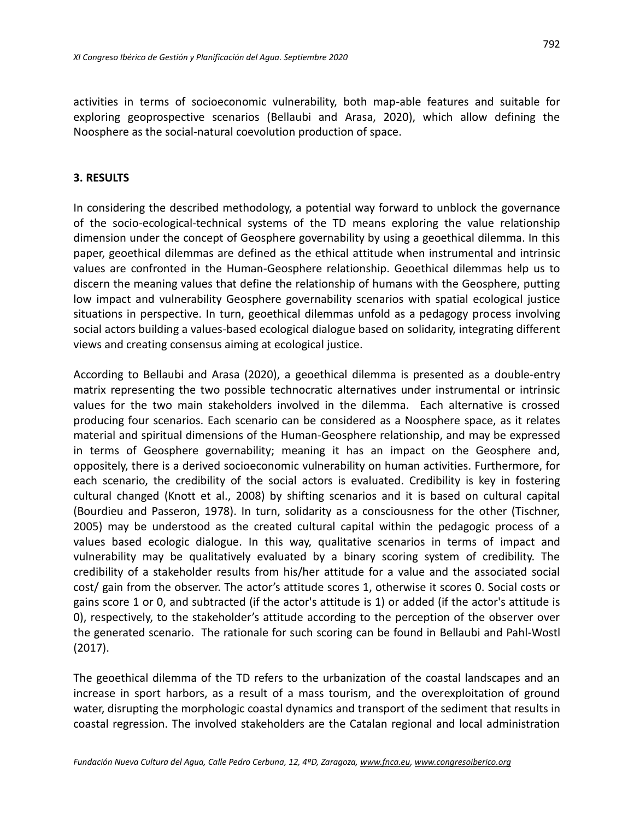activities in terms of socioeconomic vulnerability, both map-able features and suitable for exploring geoprospective scenarios (Bellaubi and Arasa, 2020), which allow defining the Noosphere as the social-natural coevolution production of space.

## **3. RESULTS**

In considering the described methodology, a potential way forward to unblock the governance of the socio-ecological-technical systems of the TD means exploring the value relationship dimension under the concept of Geosphere governability by using a geoethical dilemma. In this paper, geoethical dilemmas are defined as the ethical attitude when instrumental and intrinsic values are confronted in the Human-Geosphere relationship. Geoethical dilemmas help us to discern the meaning values that define the relationship of humans with the Geosphere, putting low impact and vulnerability Geosphere governability scenarios with spatial ecological justice situations in perspective. In turn, geoethical dilemmas unfold as a pedagogy process involving social actors building a values-based ecological dialogue based on solidarity, integrating different views and creating consensus aiming at ecological justice.

According to Bellaubi and Arasa (2020), a geoethical dilemma is presented as a double-entry matrix representing the two possible technocratic alternatives under instrumental or intrinsic values for the two main stakeholders involved in the dilemma. Each alternative is crossed producing four scenarios. Each scenario can be considered as a Noosphere space, as it relates material and spiritual dimensions of the Human-Geosphere relationship, and may be expressed in terms of Geosphere governability; meaning it has an impact on the Geosphere and, oppositely, there is a derived socioeconomic vulnerability on human activities. Furthermore, for each scenario, the credibility of the social actors is evaluated. Credibility is key in fostering cultural changed (Knott et al., 2008) by shifting scenarios and it is based on cultural capital (Bourdieu and Passeron, 1978). In turn, solidarity as a consciousness for the other (Tischner, 2005) may be understood as the created cultural capital within the pedagogic process of a values based ecologic dialogue. In this way, qualitative scenarios in terms of impact and vulnerability may be qualitatively evaluated by a binary scoring system of credibility. The credibility of a stakeholder results from his/her attitude for a value and the associated social cost/ gain from the observer. The actor's attitude scores 1, otherwise it scores 0. Social costs or gains score 1 or 0, and subtracted (if the actor's attitude is 1) or added (if the actor's attitude is 0), respectively, to the stakeholder's attitude according to the perception of the observer over the generated scenario. The rationale for such scoring can be found in Bellaubi and Pahl-Wostl (2017).

The geoethical dilemma of the TD refers to the urbanization of the coastal landscapes and an increase in sport harbors, as a result of a mass tourism, and the overexploitation of ground water, disrupting the morphologic coastal dynamics and transport of the sediment that results in coastal regression. The involved stakeholders are the Catalan regional and local administration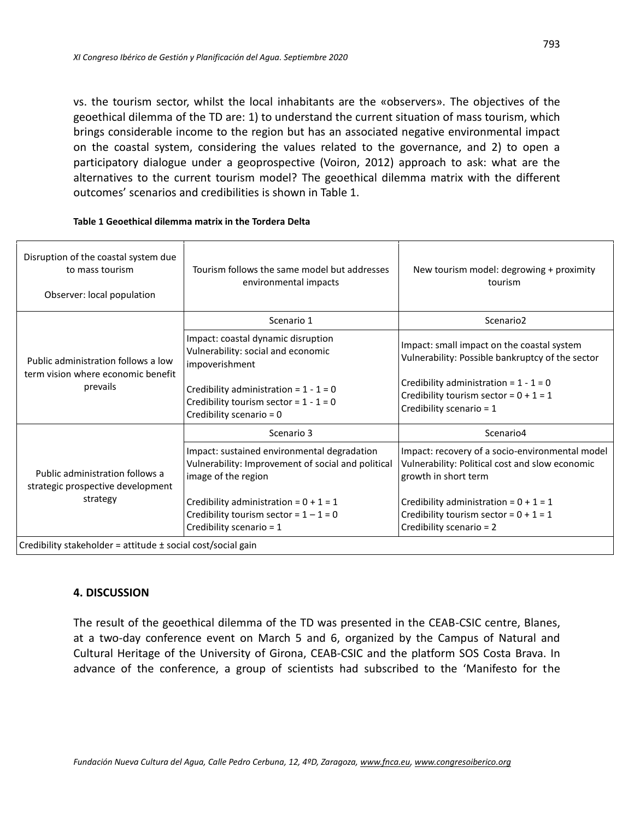vs. the tourism sector, whilst the local inhabitants are the «observers». The objectives of the geoethical dilemma of the TD are: 1) to understand the current situation of mass tourism, which brings considerable income to the region but has an associated negative environmental impact on the coastal system, considering the values related to the governance, and 2) to open a participatory dialogue under a geoprospective (Voiron, 2012) approach to ask: what are the alternatives to the current tourism model? The geoethical dilemma matrix with the different outcomes' scenarios and credibilities is shown in Table 1.

| Disruption of the coastal system due<br>to mass tourism<br>Observer: local population | Tourism follows the same model but addresses<br>environmental impacts                                                    | New tourism model: degrowing + proximity<br>tourism                                                                        |
|---------------------------------------------------------------------------------------|--------------------------------------------------------------------------------------------------------------------------|----------------------------------------------------------------------------------------------------------------------------|
| Public administration follows a low<br>term vision where economic benefit<br>prevails | Scenario 1                                                                                                               | Scenario <sub>2</sub>                                                                                                      |
|                                                                                       | Impact: coastal dynamic disruption<br>Vulnerability: social and economic<br>impoverishment                               | Impact: small impact on the coastal system<br>Vulnerability: Possible bankruptcy of the sector                             |
|                                                                                       | Credibility administration = $1 - 1 = 0$<br>Credibility tourism sector = $1 - 1 = 0$<br>Credibility scenario = 0         | Credibility administration = $1 - 1 = 0$<br>Credibility tourism sector = $0 + 1 = 1$<br>Credibility scenario = 1           |
| Public administration follows a<br>strategic prospective development<br>strategy      | Scenario 3                                                                                                               | Scenario4                                                                                                                  |
|                                                                                       | Impact: sustained environmental degradation<br>Vulnerability: Improvement of social and political<br>image of the region | Impact: recovery of a socio-environmental model<br>Vulnerability: Political cost and slow economic<br>growth in short term |
|                                                                                       | Credibility administration = $0 + 1 = 1$                                                                                 | Credibility administration = $0 + 1 = 1$                                                                                   |
|                                                                                       | Credibility tourism sector = $1 - 1 = 0$<br>Credibility scenario = 1                                                     | Credibility tourism sector = $0 + 1 = 1$<br>Credibility scenario = 2                                                       |
| Credibility stakeholder = attitude ± social cost/social gain                          |                                                                                                                          |                                                                                                                            |

#### **Table 1 Geoethical dilemma matrix in the Tordera Delta**

#### **4. DISCUSSION**

The result of the geoethical dilemma of the TD was presented in the CEAB-CSIC centre, Blanes, at a two-day conference event on March 5 and 6, organized by the Campus of Natural and Cultural Heritage of the University of Girona, CEAB-CSIC and the platform SOS Costa Brava. In advance of the conference, a group of scientists had subscribed to the 'Manifesto for the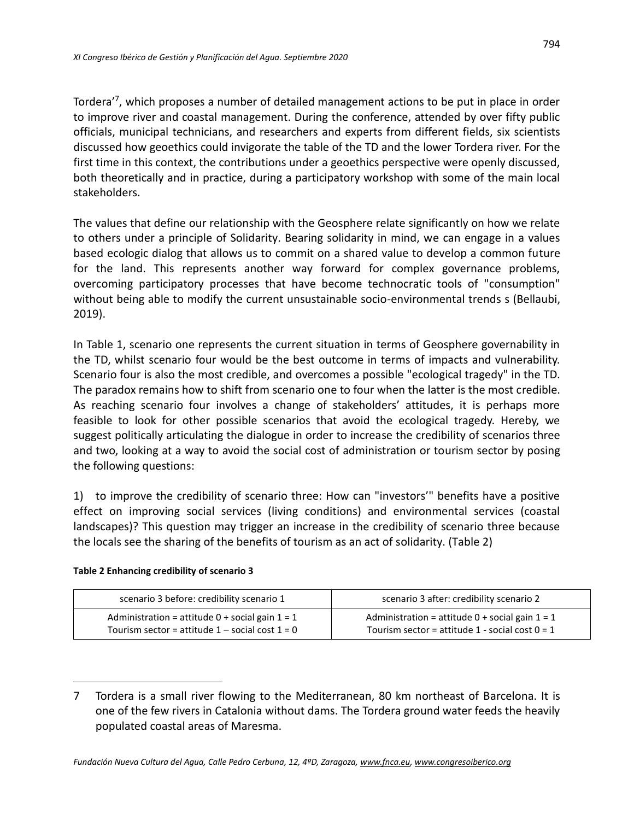Tordera'<sup>7</sup> , which proposes a number of detailed management actions to be put in place in order to improve river and coastal management. During the conference, attended by over fifty public officials, municipal technicians, and researchers and experts from different fields, six scientists discussed how geoethics could invigorate the table of the TD and the lower Tordera river. For the first time in this context, the contributions under a geoethics perspective were openly discussed, both theoretically and in practice, during a participatory workshop with some of the main local stakeholders.

The values that define our relationship with the Geosphere relate significantly on how we relate to others under a principle of Solidarity. Bearing solidarity in mind, we can engage in a values based ecologic dialog that allows us to commit on a shared value to develop a common future for the land. This represents another way forward for complex governance problems, overcoming participatory processes that have become technocratic tools of "consumption" without being able to modify the current unsustainable socio-environmental trends s (Bellaubi, 2019).

In Table 1, scenario one represents the current situation in terms of Geosphere governability in the TD, whilst scenario four would be the best outcome in terms of impacts and vulnerability. Scenario four is also the most credible, and overcomes a possible "ecological tragedy" in the TD. The paradox remains how to shift from scenario one to four when the latter is the most credible. As reaching scenario four involves a change of stakeholders' attitudes, it is perhaps more feasible to look for other possible scenarios that avoid the ecological tragedy. Hereby, we suggest politically articulating the dialogue in order to increase the credibility of scenarios three and two, looking at a way to avoid the social cost of administration or tourism sector by posing the following questions:

1) to improve the credibility of scenario three: How can "investors'" benefits have a positive effect on improving social services (living conditions) and environmental services (coastal landscapes)? This question may trigger an increase in the credibility of scenario three because the locals see the sharing of the benefits of tourism as an act of solidarity. (Table 2)

| scenario 3 before: credibility scenario 1           | scenario 3 after: credibility scenario 2            |
|-----------------------------------------------------|-----------------------------------------------------|
| Administration = attitude $0 +$ social gain $1 = 1$ | Administration = attitude $0 +$ social gain $1 = 1$ |
| Tourism sector = attitude $1$ – social cost $1 = 0$ | Tourism sector = attitude 1 - social cost $0 = 1$   |

## **Table 2 Enhancing credibility of scenario 3**

<sup>7</sup> Tordera is a small river flowing to the Mediterranean, 80 km northeast of Barcelona. It is one of the few rivers in Catalonia without dams. The Tordera ground water feeds the heavily populated coastal areas of Maresma.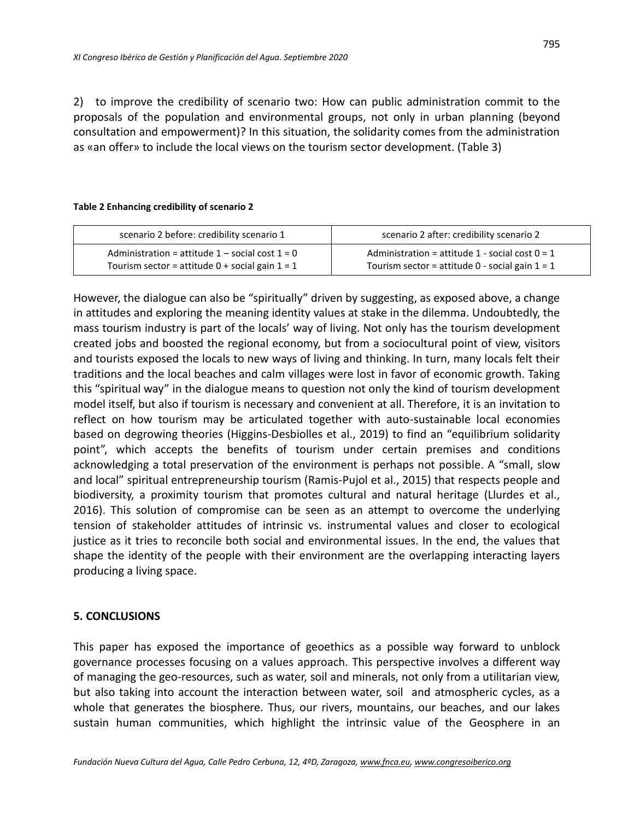2) to improve the credibility of scenario two: How can public administration commit to the proposals of the population and environmental groups, not only in urban planning (beyond consultation and empowerment)? In this situation, the solidarity comes from the administration as «an offer» to include the local views on the tourism sector development. (Table 3)

#### **Table 2 Enhancing credibility of scenario 2**

| scenario 2 before: credibility scenario 1           | scenario 2 after: credibility scenario 2          |
|-----------------------------------------------------|---------------------------------------------------|
| Administration = attitude $1$ – social cost $1 = 0$ | Administration = attitude 1 - social cost $0 = 1$ |
| Tourism sector = attitude $0 +$ social gain $1 = 1$ | Tourism sector = attitude 0 - social gain $1 = 1$ |

However, the dialogue can also be "spiritually" driven by suggesting, as exposed above, a change in attitudes and exploring the meaning identity values at stake in the dilemma. Undoubtedly, the mass tourism industry is part of the locals' way of living. Not only has the tourism development created jobs and boosted the regional economy, but from a sociocultural point of view, visitors and tourists exposed the locals to new ways of living and thinking. In turn, many locals felt their traditions and the local beaches and calm villages were lost in favor of economic growth. Taking this "spiritual way" in the dialogue means to question not only the kind of tourism development model itself, but also if tourism is necessary and convenient at all. Therefore, it is an invitation to reflect on how tourism may be articulated together with auto-sustainable local economies based on degrowing theories (Higgins-Desbiolles et al., 2019) to find an "equilibrium solidarity point", which accepts the benefits of tourism under certain premises and conditions acknowledging a total preservation of the environment is perhaps not possible. A "small, slow and local" spiritual entrepreneurship tourism (Ramis-Pujol et al., 2015) that respects people and biodiversity, a proximity tourism that promotes cultural and natural heritage (Llurdes et al., 2016). This solution of compromise can be seen as an attempt to overcome the underlying tension of stakeholder attitudes of intrinsic vs. instrumental values and closer to ecological justice as it tries to reconcile both social and environmental issues. In the end, the values that shape the identity of the people with their environment are the overlapping interacting layers producing a living space.

## **5. CONCLUSIONS**

This paper has exposed the importance of geoethics as a possible way forward to unblock governance processes focusing on a values approach. This perspective involves a different way of managing the geo-resources, such as water, soil and minerals, not only from a utilitarian view, but also taking into account the interaction between water, soil and atmospheric cycles, as a whole that generates the biosphere. Thus, our rivers, mountains, our beaches, and our lakes sustain human communities, which highlight the intrinsic value of the Geosphere in an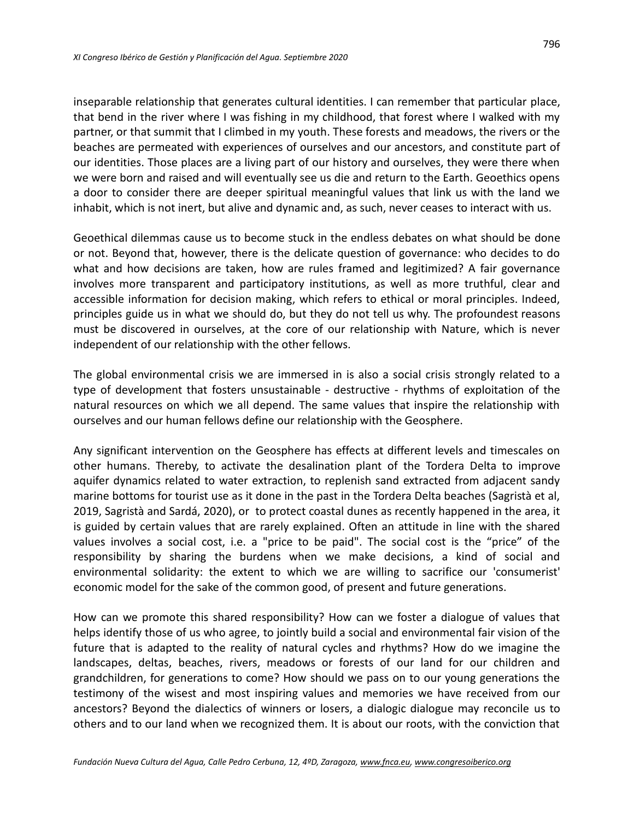inseparable relationship that generates cultural identities. I can remember that particular place, that bend in the river where I was fishing in my childhood, that forest where I walked with my partner, or that summit that I climbed in my youth. These forests and meadows, the rivers or the beaches are permeated with experiences of ourselves and our ancestors, and constitute part of our identities. Those places are a living part of our history and ourselves, they were there when we were born and raised and will eventually see us die and return to the Earth. Geoethics opens a door to consider there are deeper spiritual meaningful values that link us with the land we inhabit, which is not inert, but alive and dynamic and, as such, never ceases to interact with us.

Geoethical dilemmas cause us to become stuck in the endless debates on what should be done or not. Beyond that, however, there is the delicate question of governance: who decides to do what and how decisions are taken, how are rules framed and legitimized? A fair governance involves more transparent and participatory institutions, as well as more truthful, clear and accessible information for decision making, which refers to ethical or moral principles. Indeed, principles guide us in what we should do, but they do not tell us why. The profoundest reasons must be discovered in ourselves, at the core of our relationship with Nature, which is never independent of our relationship with the other fellows.

The global environmental crisis we are immersed in is also a social crisis strongly related to a type of development that fosters unsustainable - destructive - rhythms of exploitation of the natural resources on which we all depend. The same values that inspire the relationship with ourselves and our human fellows define our relationship with the Geosphere.

Any significant intervention on the Geosphere has effects at different levels and timescales on other humans. Thereby, to activate the desalination plant of the Tordera Delta to improve aquifer dynamics related to water extraction, to replenish sand extracted from adjacent sandy marine bottoms for tourist use as it done in the past in the Tordera Delta beaches (Sagristà et al, 2019, Sagristà and Sardá, 2020), or to protect coastal dunes as recently happened in the area, it is guided by certain values that are rarely explained. Often an attitude in line with the shared values involves a social cost, i.e. a "price to be paid". The social cost is the "price" of the responsibility by sharing the burdens when we make decisions, a kind of social and environmental solidarity: the extent to which we are willing to sacrifice our 'consumerist' economic model for the sake of the common good, of present and future generations.

How can we promote this shared responsibility? How can we foster a dialogue of values that helps identify those of us who agree, to jointly build a social and environmental fair vision of the future that is adapted to the reality of natural cycles and rhythms? How do we imagine the landscapes, deltas, beaches, rivers, meadows or forests of our land for our children and grandchildren, for generations to come? How should we pass on to our young generations the testimony of the wisest and most inspiring values and memories we have received from our ancestors? Beyond the dialectics of winners or losers, a dialogic dialogue may reconcile us to others and to our land when we recognized them. It is about our roots, with the conviction that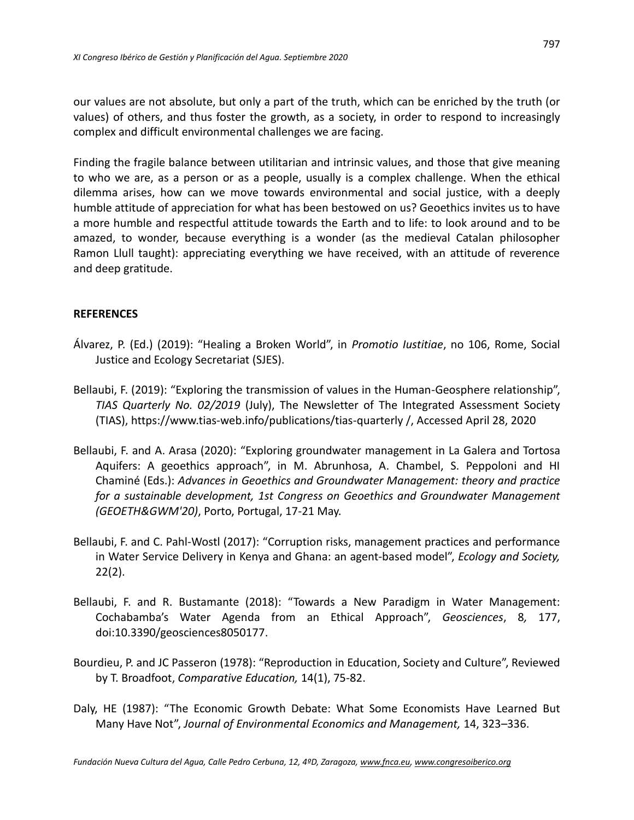our values are not absolute, but only a part of the truth, which can be enriched by the truth (or values) of others, and thus foster the growth, as a society, in order to respond to increasingly complex and difficult environmental challenges we are facing.

Finding the fragile balance between utilitarian and intrinsic values, and those that give meaning to who we are, as a person or as a people, usually is a complex challenge. When the ethical dilemma arises, how can we move towards environmental and social justice, with a deeply humble attitude of appreciation for what has been bestowed on us? Geoethics invites us to have a more humble and respectful attitude towards the Earth and to life: to look around and to be amazed, to wonder, because everything is a wonder (as the medieval Catalan philosopher Ramon Llull taught): appreciating everything we have received, with an attitude of reverence and deep gratitude.

## **REFERENCES**

- Álvarez, P. (Ed.) (2019): "Healing a Broken World", in *Promotio Iustitiae*, no 106, Rome, Social Justice and Ecology Secretariat (SJES).
- Bellaubi, F. (2019): "Exploring the transmission of values in the Human-Geosphere relationship", *TIAS Quarterly No. 02/2019* (July), The Newsletter of The Integrated Assessment Society (TIAS), https://www.tias-web.info/publications/tias-quarterly /, Accessed April 28, 2020
- Bellaubi, F. and A. Arasa (2020): "Exploring groundwater management in La Galera and Tortosa Aquifers: A geoethics approach", in M. Abrunhosa, A. Chambel, S. Peppoloni and HI Chaminé (Eds.): *Advances in Geoethics and Groundwater Management: theory and practice for a sustainable development, 1st Congress on Geoethics and Groundwater Management (GEOETH&GWM'20)*, Porto, Portugal, 17-21 May.
- Bellaubi, F. and C. Pahl-Wostl (2017): "Corruption risks, management practices and performance in Water Service Delivery in Kenya and Ghana: an agent-based model", *Ecology and Society,* 22(2).
- Bellaubi, F. and R. Bustamante (2018): "Towards a New Paradigm in Water Management: Cochabamba's Water Agenda from an Ethical Approach", *Geosciences*, 8*,* 177, doi:10.3390/geosciences8050177.
- Bourdieu, P. and JC Passeron (1978): "Reproduction in Education, Society and Culture", Reviewed by T. Broadfoot, *Comparative Education,* 14(1), 75-82.
- Daly, HE (1987): "The Economic Growth Debate: What Some Economists Have Learned But Many Have Not", *Journal of Environmental Economics and Management,* 14, 323–336.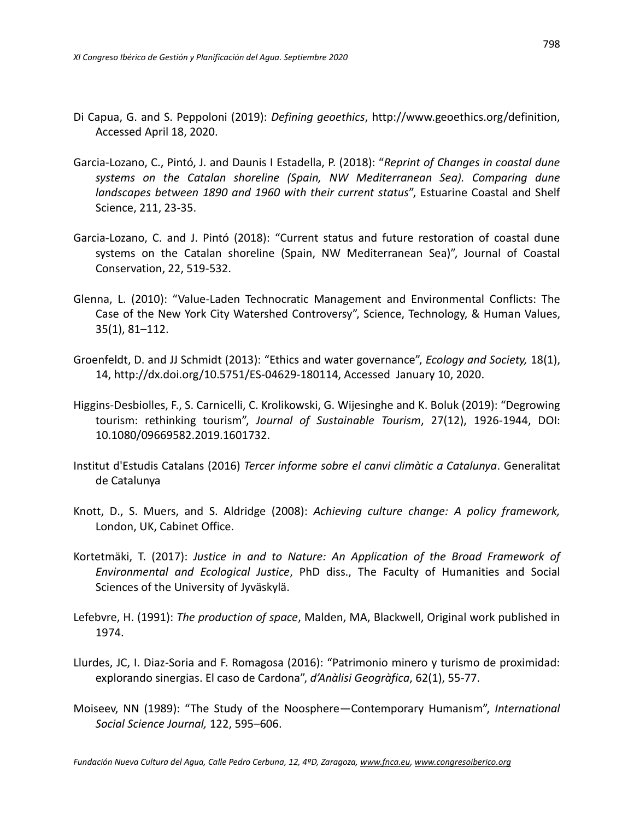- Di Capua, G. and S. Peppoloni (2019): *Defining geoethics*, http://www.geoethics.org/definition, Accessed April 18, 2020.
- Garcia-Lozano, C., Pintó, J. and Daunis I Estadella, P. (2018): "*Reprint of Changes in coastal dune systems on the Catalan shoreline (Spain, NW Mediterranean Sea). Comparing dune landscapes between 1890 and 1960 with their current status*", Estuarine Coastal and Shelf Science, 211, 23-35.
- Garcia-Lozano, C. and J. Pintó (2018): "Current status and future restoration of coastal dune systems on the Catalan shoreline (Spain, NW Mediterranean Sea)", Journal of Coastal Conservation, 22, 519-532.
- Glenna, L. (2010): "Value-Laden Technocratic Management and Environmental Conflicts: The Case of the New York City Watershed Controversy", Science, Technology, & Human Values, 35(1), 81–112.
- Groenfeldt, D. and JJ Schmidt (2013): "Ethics and water governance", *Ecology and Society,* 18(1), 14, [http://dx.doi.org/10.5751/ES-04629-180114,](http://dx.doi.org/10.5751/ES-04629-180114) Accessed January 10, 2020.
- Higgins-Desbiolles, F., S. Carnicelli, C. Krolikowski, G. Wijesinghe and K. Boluk (2019): "Degrowing tourism: rethinking tourism", *Journal of Sustainable Tourism*, 27(12), 1926-1944, DOI: 10.1080/09669582.2019.1601732.
- Institut d'Estudis Catalans (2016) *Tercer informe sobre el canvi climàtic a Catalunya*. Generalitat de Catalunya
- Knott, D., S. Muers, and S. Aldridge (2008): *Achieving culture change: A policy framework,* London, UK, Cabinet Office.
- Kortetmäki, T. (2017): *Justice in and to Nature: An Application of the Broad Framework of Environmental and Ecological Justice*, PhD diss., The Faculty of Humanities and Social Sciences of the University of Jyväskylä.
- Lefebvre, H. (1991): *The production of space*, Malden, MA, Blackwell, Original work published in 1974.
- Llurdes, JC, I. Diaz-Soria and F. Romagosa (2016): "Patrimonio minero y turismo de proximidad: explorando sinergias. El caso de Cardona", *d'Anàlisi Geogràfica*, 62(1), 55-77.
- Moiseev, NN (1989): "The Study of the Noosphere—Contemporary Humanism", *International Social Science Journal,* 122, 595–606.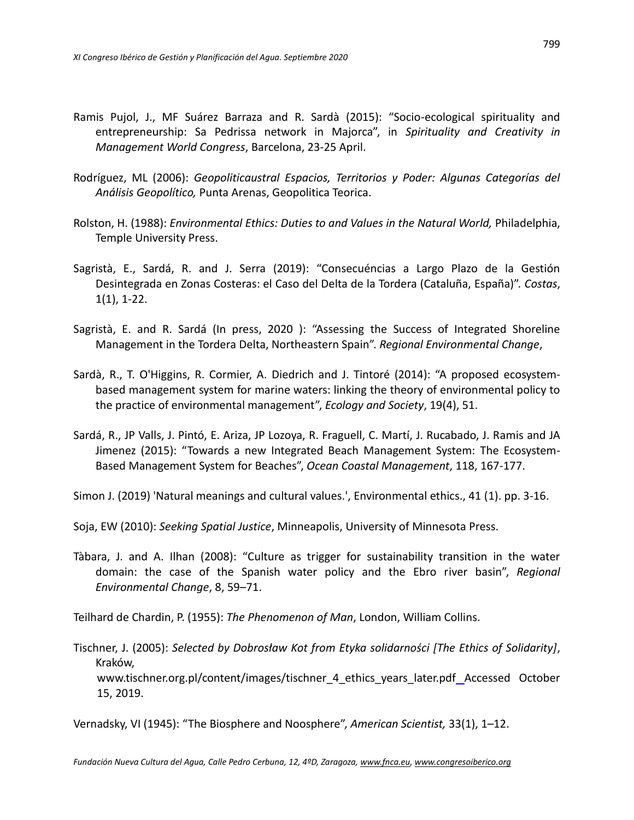- Ramis Pujol, J., MF Suárez Barraza and R. Sardà (2015): "Socio-ecological spirituality and entrepreneurship: Sa Pedrissa network in Majorca", in *Spirituality and Creativity in Management World Congress*, Barcelona, 23-25 April.
- Rodríguez, ML (2006): *Geopoliticaustral Espacios, Territorios y Poder: Algunas Categorías del Análisis Geopolítico,* Punta Arenas, Geopolitica Teorica.
- Rolston, H. (1988): *Environmental Ethics: Duties to and Values in the Natural World,* Philadelphia, Temple University Press.
- Sagristà, E., Sardá, R. and J. Serra (2019): "Consecuéncias a Largo Plazo de la Gestión Desintegrada en Zonas Costeras: el Caso del Delta de la Tordera (Cataluña, España)". *Costas*, 1(1), 1-22.
- Sagristà, E. and R. Sardá (In press, 2020 ): "Assessing the Success of Integrated Shoreline Management in the Tordera Delta, Northeastern Spain". *Regional Environmental Change*,
- Sardà, R., T. O'Higgins, R. Cormier, A. Diedrich and J. Tintoré (2014): "A proposed ecosystembased management system for marine waters: linking the theory of environmental policy to the practice of environmental management", *Ecology and Society*, 19(4), 51.
- Sardá, R., JP Valls, J. Pintó, E. Ariza, JP Lozoya, R. Fraguell, C. Martí, J. Rucabado, J. Ramis and JA Jimenez (2015): "Towards a new Integrated Beach Management System: The Ecosystem-Based Management System for Beaches", *Ocean Coastal Management*, 118, 167-177.

Simon J. (2019) 'Natural meanings and cultural values.', Environmental ethics., 41 (1). pp. 3-16.

Soja, EW (2010): *Seeking Spatial Justice*, Minneapolis, University of Minnesota Press.

Tàbara, J. and A. Ilhan (2008): "Culture as trigger for sustainability transition in the water domain: the case of the Spanish water policy and the Ebro river basin", *Regional Environmental Change*, 8, 59–71.

Teilhard de Chardin, P. (1955): *The Phenomenon of Man*, London, William Collins.

Tischner, J. (2005): *Selected by Dobrosław Kot from Etyka solidarności [The Ethics of Solidarity]*, Kraków, www.tischner.org.pl/content/images/tischner\_4\_ethics\_years\_later.pdf Accessed October 15, 2019.

Vernadsky, VI (1945): "The Biosphere and Noosphere", *American Scientist,* 33(1), 1–12.